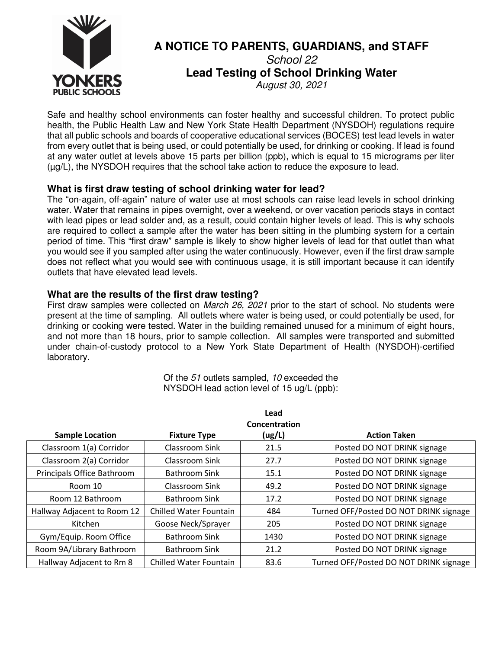

# **A NOTICE TO PARENTS, GUARDIANS, and STAFF**  School 22 **Lead Testing of School Drinking Water**  August 30, 2021

Safe and healthy school environments can foster healthy and successful children. To protect public health, the Public Health Law and New York State Health Department (NYSDOH) regulations require that all public schools and boards of cooperative educational services (BOCES) test lead levels in water from every outlet that is being used, or could potentially be used, for drinking or cooking. If lead is found at any water outlet at levels above 15 parts per billion (ppb), which is equal to 15 micrograms per liter (µg/L), the NYSDOH requires that the school take action to reduce the exposure to lead.

# **What is first draw testing of school drinking water for lead?**

The "on-again, off-again" nature of water use at most schools can raise lead levels in school drinking water. Water that remains in pipes overnight, over a weekend, or over vacation periods stays in contact with lead pipes or lead solder and, as a result, could contain higher levels of lead. This is why schools are required to collect a sample after the water has been sitting in the plumbing system for a certain period of time. This "first draw" sample is likely to show higher levels of lead for that outlet than what you would see if you sampled after using the water continuously. However, even if the first draw sample does not reflect what you would see with continuous usage, it is still important because it can identify outlets that have elevated lead levels.

# **What are the results of the first draw testing?**

First draw samples were collected on *March 26, 2021* prior to the start of school. No students were present at the time of sampling. All outlets where water is being used, or could potentially be used, for drinking or cooking were tested. Water in the building remained unused for a minimum of eight hours, and not more than 18 hours, prior to sample collection. All samples were transported and submitted under chain-of-custody protocol to a New York State Department of Health (NYSDOH)-certified laboratory.

> Of the 51 outlets sampled, 10 exceeded the NYSDOH lead action level of 15 ug/L (ppb):

|                             |                               | Lead<br>Concentration |                                        |  |
|-----------------------------|-------------------------------|-----------------------|----------------------------------------|--|
| <b>Sample Location</b>      | <b>Fixture Type</b>           | (ug/L)                | <b>Action Taken</b>                    |  |
| Classroom 1(a) Corridor     | Classroom Sink                | 21.5                  | Posted DO NOT DRINK signage            |  |
| Classroom 2(a) Corridor     | Classroom Sink                | 27.7                  | Posted DO NOT DRINK signage            |  |
| Principals Office Bathroom  | Bathroom Sink                 | 15.1                  | Posted DO NOT DRINK signage            |  |
| Room 10                     | Classroom Sink                | 49.2                  | Posted DO NOT DRINK signage            |  |
| Room 12 Bathroom            | Bathroom Sink                 | 17.2                  | Posted DO NOT DRINK signage            |  |
| Hallway Adjacent to Room 12 | <b>Chilled Water Fountain</b> | 484                   | Turned OFF/Posted DO NOT DRINK signage |  |
| Kitchen                     | Goose Neck/Sprayer            | 205                   | Posted DO NOT DRINK signage            |  |
| Gym/Equip. Room Office      | <b>Bathroom Sink</b>          | 1430                  | Posted DO NOT DRINK signage            |  |
| Room 9A/Library Bathroom    | Bathroom Sink                 | 21.2                  | Posted DO NOT DRINK signage            |  |
| Hallway Adjacent to Rm 8    | <b>Chilled Water Fountain</b> | 83.6                  | Turned OFF/Posted DO NOT DRINK signage |  |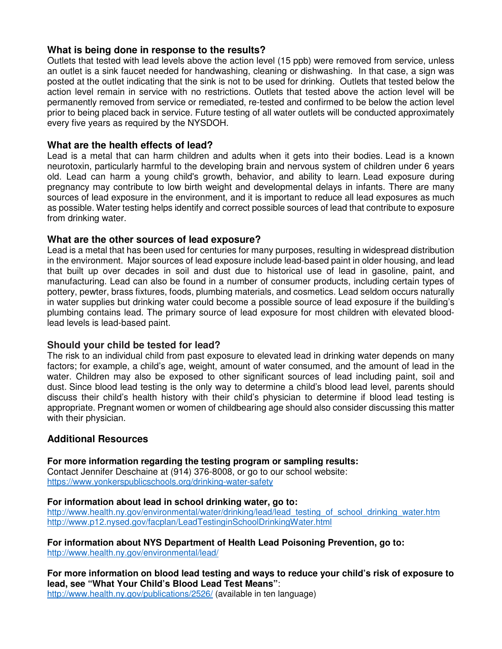# **What is being done in response to the results?**

Outlets that tested with lead levels above the action level (15 ppb) were removed from service, unless an outlet is a sink faucet needed for handwashing, cleaning or dishwashing. In that case, a sign was posted at the outlet indicating that the sink is not to be used for drinking. Outlets that tested below the action level remain in service with no restrictions. Outlets that tested above the action level will be permanently removed from service or remediated, re-tested and confirmed to be below the action level prior to being placed back in service. Future testing of all water outlets will be conducted approximately every five years as required by the NYSDOH.

# **What are the health effects of lead?**

Lead is a metal that can harm children and adults when it gets into their bodies. Lead is a known neurotoxin, particularly harmful to the developing brain and nervous system of children under 6 years old. Lead can harm a young child's growth, behavior, and ability to learn. Lead exposure during pregnancy may contribute to low birth weight and developmental delays in infants. There are many sources of lead exposure in the environment, and it is important to reduce all lead exposures as much as possible. Water testing helps identify and correct possible sources of lead that contribute to exposure from drinking water.

# **What are the other sources of lead exposure?**

Lead is a metal that has been used for centuries for many purposes, resulting in widespread distribution in the environment. Major sources of lead exposure include lead-based paint in older housing, and lead that built up over decades in soil and dust due to historical use of lead in gasoline, paint, and manufacturing. Lead can also be found in a number of consumer products, including certain types of pottery, pewter, brass fixtures, foods, plumbing materials, and cosmetics. Lead seldom occurs naturally in water supplies but drinking water could become a possible source of lead exposure if the building's plumbing contains lead. The primary source of lead exposure for most children with elevated bloodlead levels is lead-based paint.

### **Should your child be tested for lead?**

The risk to an individual child from past exposure to elevated lead in drinking water depends on many factors; for example, a child's age, weight, amount of water consumed, and the amount of lead in the water. Children may also be exposed to other significant sources of lead including paint, soil and dust. Since blood lead testing is the only way to determine a child's blood lead level, parents should discuss their child's health history with their child's physician to determine if blood lead testing is appropriate. Pregnant women or women of childbearing age should also consider discussing this matter with their physician.

# **Additional Resources**

**For more information regarding the testing program or sampling results:**

Contact Jennifer Deschaine at (914) 376-8008, or go to our school website: https://www.yonkerspublicschools.org/drinking-water-safety

### **For information about lead in school drinking water, go to:**

http://www.health.ny.gov/environmental/water/drinking/lead/lead\_testing\_of\_school\_drinking\_water.htm http://www.p12.nysed.gov/facplan/LeadTestinginSchoolDrinkingWater.html

**For information about NYS Department of Health Lead Poisoning Prevention, go to:** http://www.health.ny.gov/environmental/lead/

**For more information on blood lead testing and ways to reduce your child's risk of exposure to lead, see "What Your Child's Blood Lead Test Means"**:

http://www.health.ny.gov/publications/2526/ (available in ten language)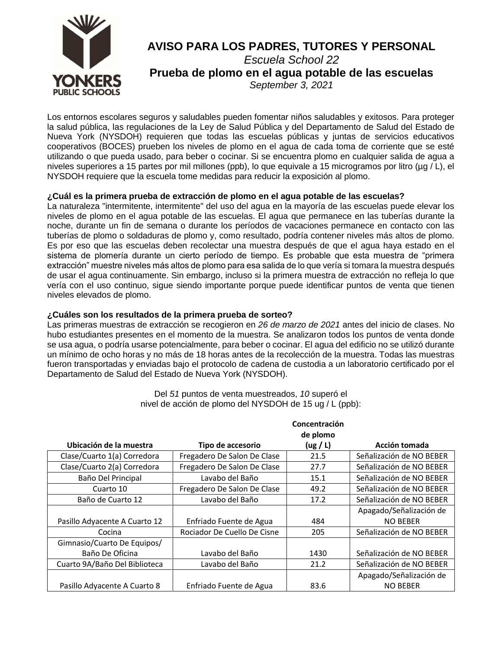

Los entornos escolares seguros y saludables pueden fomentar niños saludables y exitosos. Para proteger la salud pública, las regulaciones de la Ley de Salud Pública y del Departamento de Salud del Estado de Nueva York (NYSDOH) requieren que todas las escuelas públicas y juntas de servicios educativos cooperativos (BOCES) prueben los niveles de plomo en el agua de cada toma de corriente que se esté utilizando o que pueda usado, para beber o cocinar. Si se encuentra plomo en cualquier salida de agua a niveles superiores a 15 partes por mil millones (ppb), lo que equivale a 15 microgramos por litro (µg / L), el NYSDOH requiere que la escuela tome medidas para reducir la exposición al plomo.

### **¿Cuál es la primera prueba de extracción de plomo en el agua potable de las escuelas?**

La naturaleza "intermitente, intermitente" del uso del agua en la mayoría de las escuelas puede elevar los niveles de plomo en el agua potable de las escuelas. El agua que permanece en las tuberías durante la noche, durante un fin de semana o durante los períodos de vacaciones permanece en contacto con las tuberías de plomo o soldaduras de plomo y, como resultado, podría contener niveles más altos de plomo. Es por eso que las escuelas deben recolectar una muestra después de que el agua haya estado en el sistema de plomería durante un cierto período de tiempo. Es probable que esta muestra de "primera extracción" muestre niveles más altos de plomo para esa salida de lo que vería si tomara la muestra después de usar el agua continuamente. Sin embargo, incluso si la primera muestra de extracción no refleja lo que vería con el uso continuo, sigue siendo importante porque puede identificar puntos de venta que tienen niveles elevados de plomo.

### **¿Cuáles son los resultados de la primera prueba de sorteo?**

Las primeras muestras de extracción se recogieron en *26 de marzo de 2021* antes del inicio de clases. No hubo estudiantes presentes en el momento de la muestra. Se analizaron todos los puntos de venta donde se usa agua, o podría usarse potencialmente, para beber o cocinar. El agua del edificio no se utilizó durante un mínimo de ocho horas y no más de 18 horas antes de la recolección de la muestra. Todas las muestras fueron transportadas y enviadas bajo el protocolo de cadena de custodia a un laboratorio certificado por el Departamento de Salud del Estado de Nueva York (NYSDOH).

|                               |                             | Concentración        |                          |
|-------------------------------|-----------------------------|----------------------|--------------------------|
| Ubicación de la muestra       | Tipo de accesorio           | de plomo<br>(ug / L) | Acción tomada            |
| Clase/Cuarto 1(a) Corredora   | Fregadero De Salon De Clase | 21.5                 | Señalización de NO BEBER |
| Clase/Cuarto 2(a) Corredora   | Fregadero De Salon De Clase | 27.7                 | Señalización de NO BEBER |
| Baño Del Principal            | Lavabo del Baño             | 15.1                 | Señalización de NO BEBER |
| Cuarto 10                     | Fregadero De Salon De Clase | 49.2                 | Señalización de NO BEBER |
| Baño de Cuarto 12             | Lavabo del Baño             | 17.2                 | Señalización de NO BEBER |
|                               |                             |                      | Apagado/Señalización de  |
| Pasillo Adyacente A Cuarto 12 | Enfriado Fuente de Agua     | 484                  | <b>NO BEBER</b>          |
| Cocina                        | Rociador De Cuello De Cisne | 205                  | Señalización de NO BEBER |
| Gimnasio/Cuarto De Equipos/   |                             |                      |                          |
| Baño De Oficina               | Lavabo del Baño             | 1430                 | Señalización de NO BEBER |
| Cuarto 9A/Baño Del Biblioteca | Lavabo del Baño             | 21.2                 | Señalización de NO BEBER |
|                               |                             |                      | Apagado/Señalización de  |
| Pasillo Advacente A Cuarto 8  | Enfriado Fuente de Agua     | 83.6                 | <b>NO BEBER</b>          |

Del *51* puntos de venta muestreados, *10* superó el nivel de acción de plomo del NYSDOH de 15 ug / L (ppb):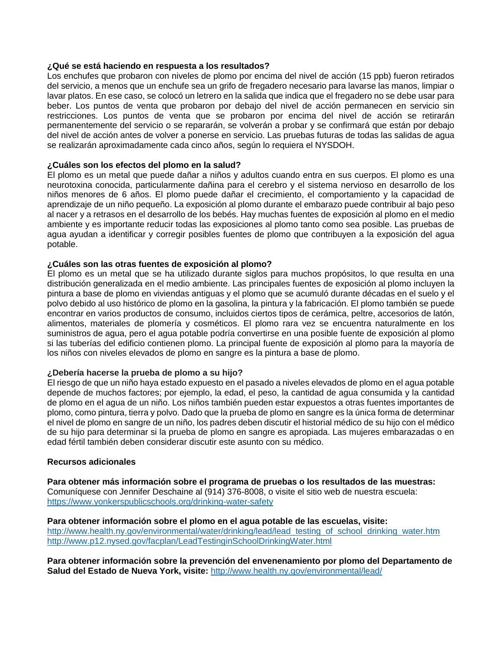### **¿Qué se está haciendo en respuesta a los resultados?**

Los enchufes que probaron con niveles de plomo por encima del nivel de acción (15 ppb) fueron retirados del servicio, a menos que un enchufe sea un grifo de fregadero necesario para lavarse las manos, limpiar o lavar platos. En ese caso, se colocó un letrero en la salida que indica que el fregadero no se debe usar para beber. Los puntos de venta que probaron por debajo del nivel de acción permanecen en servicio sin restricciones. Los puntos de venta que se probaron por encima del nivel de acción se retirarán permanentemente del servicio o se repararán, se volverán a probar y se confirmará que están por debajo del nivel de acción antes de volver a ponerse en servicio. Las pruebas futuras de todas las salidas de agua se realizarán aproximadamente cada cinco años, según lo requiera el NYSDOH.

### **¿Cuáles son los efectos del plomo en la salud?**

El plomo es un metal que puede dañar a niños y adultos cuando entra en sus cuerpos. El plomo es una neurotoxina conocida, particularmente dañina para el cerebro y el sistema nervioso en desarrollo de los niños menores de 6 años. El plomo puede dañar el crecimiento, el comportamiento y la capacidad de aprendizaje de un niño pequeño. La exposición al plomo durante el embarazo puede contribuir al bajo peso al nacer y a retrasos en el desarrollo de los bebés. Hay muchas fuentes de exposición al plomo en el medio ambiente y es importante reducir todas las exposiciones al plomo tanto como sea posible. Las pruebas de agua ayudan a identificar y corregir posibles fuentes de plomo que contribuyen a la exposición del agua potable.

### **¿Cuáles son las otras fuentes de exposición al plomo?**

El plomo es un metal que se ha utilizado durante siglos para muchos propósitos, lo que resulta en una distribución generalizada en el medio ambiente. Las principales fuentes de exposición al plomo incluyen la pintura a base de plomo en viviendas antiguas y el plomo que se acumuló durante décadas en el suelo y el polvo debido al uso histórico de plomo en la gasolina, la pintura y la fabricación. El plomo también se puede encontrar en varios productos de consumo, incluidos ciertos tipos de cerámica, peltre, accesorios de latón, alimentos, materiales de plomería y cosméticos. El plomo rara vez se encuentra naturalmente en los suministros de agua, pero el agua potable podría convertirse en una posible fuente de exposición al plomo si las tuberías del edificio contienen plomo. La principal fuente de exposición al plomo para la mayoría de los niños con niveles elevados de plomo en sangre es la pintura a base de plomo.

#### **¿Debería hacerse la prueba de plomo a su hijo?**

El riesgo de que un niño haya estado expuesto en el pasado a niveles elevados de plomo en el agua potable depende de muchos factores; por ejemplo, la edad, el peso, la cantidad de agua consumida y la cantidad de plomo en el agua de un niño. Los niños también pueden estar expuestos a otras fuentes importantes de plomo, como pintura, tierra y polvo. Dado que la prueba de plomo en sangre es la única forma de determinar el nivel de plomo en sangre de un niño, los padres deben discutir el historial médico de su hijo con el médico de su hijo para determinar si la prueba de plomo en sangre es apropiada. Las mujeres embarazadas o en edad fértil también deben considerar discutir este asunto con su médico.

#### **Recursos adicionales**

**Para obtener más información sobre el programa de pruebas o los resultados de las muestras:** Comuníquese con Jennifer Deschaine al (914) 376-8008, o visite el sitio web de nuestra escuela: <https://www.yonkerspublicschools.org/drinking-water-safety>

**Para obtener información sobre el plomo en el agua potable de las escuelas, visite:** [http://www.health.ny.gov/environmental/water/drinking/lead/lead\\_testing\\_of\\_school\\_drinking\\_water.htm](http://www.health.ny.gov/environmental/water/drinking/lead/lead_testing_of_school_drinking_water.htm) <http://www.p12.nysed.gov/facplan/LeadTestinginSchoolDrinkingWater.html>

**Para obtener información sobre la prevención del envenenamiento por plomo del Departamento de Salud del Estado de Nueva York, visite:** <http://www.health.ny.gov/environmental/lead/>